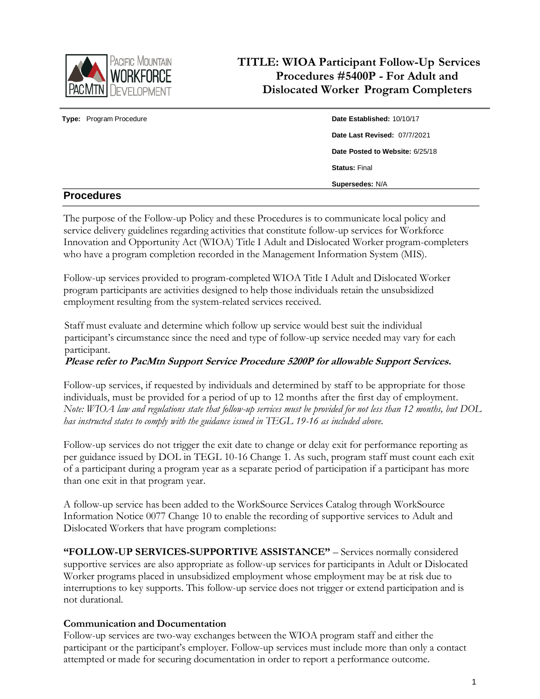

# **TITLE: WIOA Participant Follow-Up Services Procedures #5400P - For Adult and Dislocated Worker Program Completers**

| <b>Donandiuse</b>       |                                 |
|-------------------------|---------------------------------|
|                         | Supersedes: N/A                 |
|                         | <b>Status: Final</b>            |
|                         | Date Posted to Website: 6/25/18 |
|                         | Date Last Revised: 07/7/2021    |
| Type: Program Procedure | Date Established: 10/10/17      |
|                         |                                 |

# **Procedures**

The purpose of the Follow-up Policy and these Procedures is to communicate local policy and service delivery guidelines regarding activities that constitute follow-up services for Workforce Innovation and Opportunity Act (WIOA) Title I Adult and Dislocated Worker program-completers who have a program completion recorded in the Management Information System (MIS).

Follow-up services provided to program-completed WIOA Title I Adult and Dislocated Worker program participants are activities designed to help those individuals retain the unsubsidized employment resulting from the system-related services received.

Staff must evaluate and determine which follow up service would best suit the individual participant's circumstance since the need and type of follow-up service needed may vary for each participant.

## **Please refer to PacMtn Support Service Procedure 5200P for allowable Support Services.**

Follow-up services, if requested by individuals and determined by staff to be appropriate for those individuals, must be provided for a period of up to 12 months after the first day of employment. *Note: WIOA law and regulations state that follow-up services must be provided for not less than 12 months, but DOL has instructed states to comply with the guidance issued in TEGL 19-16 as included above.*

Follow-up services do not trigger the exit date to change or delay exit for performance reporting as per guidance issued by DOL in TEGL 10-16 Change 1. As such, program staff must count each exit of a participant during a program year as a separate period of participation if a participant has more than one exit in that program year.

A follow-up service has been added to the WorkSource Services Catalog through WorkSource Information Notice 0077 Change 10 to enable the recording of supportive services to Adult and Dislocated Workers that have program completions:

**"FOLLOW-UP SERVICES-SUPPORTIVE ASSISTANCE"** – Services normally considered supportive services are also appropriate as follow-up services for participants in Adult or Dislocated Worker programs placed in unsubsidized employment whose employment may be at risk due to interruptions to key supports. This follow-up service does not trigger or extend participation and is not durational.

#### **Communication and Documentation**

Follow-up services are two-way exchanges between the WIOA program staff and either the participant or the participant's employer. Follow-up services must include more than only a contact attempted or made for securing documentation in order to report a performance outcome.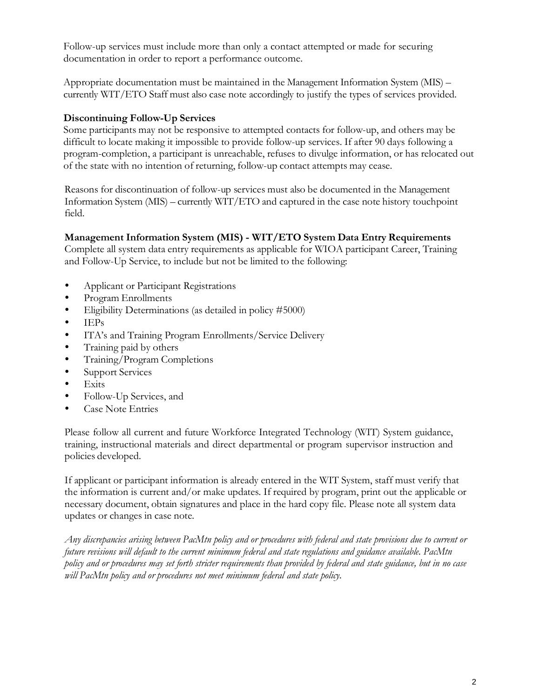Follow-up services must include more than only a contact attempted or made for securing documentation in order to report a performance outcome.

Appropriate documentation must be maintained in the Management Information System (MIS) – currently WIT/ETO Staff must also case note accordingly to justify the types of services provided.

## **Discontinuing Follow-Up Services**

Some participants may not be responsive to attempted contacts for follow-up, and others may be difficult to locate making it impossible to provide follow-up services. If after 90 days following a program-completion, a participant is unreachable, refuses to divulge information, or has relocated out of the state with no intention of returning, follow-up contact attempts may cease.

Reasons for discontinuation of follow-up services must also be documented in the Management Information System (MIS) – currently WIT/ETO and captured in the case note history touchpoint field.

# **Management Information System (MIS) - WIT/ETO System Data Entry Requirements**

Complete all system data entry requirements as applicable for WIOA participant Career, Training and Follow-Up Service, to include but not be limited to the following:

- Applicant or Participant Registrations
- Program Enrollments
- Eligibility Determinations (as detailed in policy #5000)
- $\bullet$  IEPs
- ITA's and Training Program Enrollments/Service Delivery
- Training paid by others
- Training/Program Completions
- Support Services
- Exits
- Follow-Up Services, and
- Case Note Entries

Please follow all current and future Workforce Integrated Technology (WIT) System guidance, training, instructional materials and direct departmental or program supervisor instruction and policies developed.

If applicant or participant information is already entered in the WIT System, staff must verify that the information is current and/or make updates. If required by program, print out the applicable or necessary document, obtain signatures and place in the hard copy file. Please note all system data updates or changes in case note.

Any discrepancies arising between PacMtn policy and or procedures with federal and state provisions due to current or *future revisions will default to the current minimum federal and state regulations and guidance available. PacMtn* policy and or procedures may set forth stricter requirements than provided by federal and state guidance, but in no case *will PacMtn policy and or procedures not meet minimum federal and state policy.*